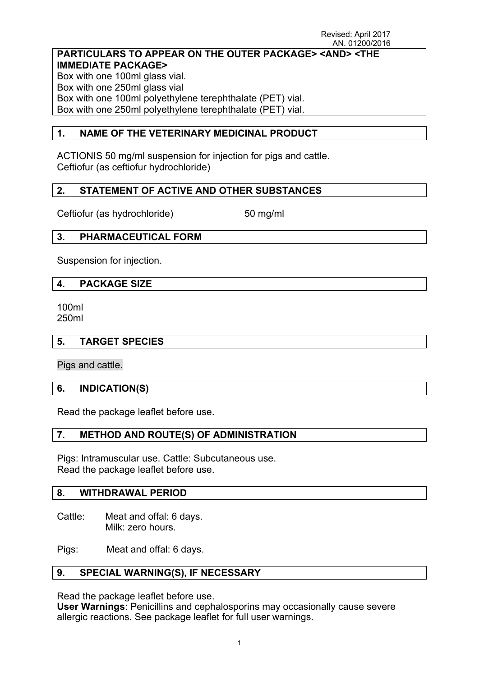## **PARTICULARS TO APPEAR ON THE OUTER PACKAGE> <AND> <THE IMMEDIATE PACKAGE>**

Box with one 100ml glass vial. Box with one 250ml glass vial Box with one 100ml polyethylene terephthalate (PET) vial. Box with one 250ml polyethylene terephthalate (PET) vial.

### **1. NAME OF THE VETERINARY MEDICINAL PRODUCT**

ACTIONIS 50 mg/ml suspension for injection for pigs and cattle. Ceftiofur (as ceftiofur hydrochloride)

## **2. STATEMENT OF ACTIVE AND OTHER SUBSTANCES**

Ceftiofur (as hydrochloride) 50 mg/ml

## **3. PHARMACEUTICAL FORM**

Suspension for injection.

### **4. PACKAGE SIZE**

100ml 250ml

#### **5. TARGET SPECIES**

Pigs and cattle.

## **6. INDICATION(S)**

Read the package leaflet before use.

## **7. METHOD AND ROUTE(S) OF ADMINISTRATION**

Pigs: Intramuscular use. Cattle: Subcutaneous use. Read the package leaflet before use.

#### **8. WITHDRAWAL PERIOD**

Cattle: Meat and offal: 6 days. Milk: zero hours.

Pigs: Meat and offal: 6 days.

## **9. SPECIAL WARNING(S), IF NECESSARY**

Read the package leaflet before use.

**User Warnings**: Penicillins and cephalosporins may occasionally cause severe allergic reactions. See package leaflet for full user warnings.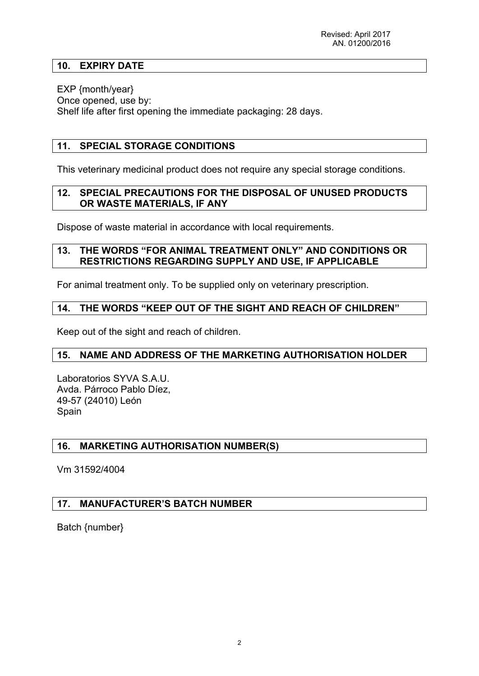### **10. EXPIRY DATE**

EXP {month/year} Once opened, use by: Shelf life after first opening the immediate packaging: 28 days.

### **11. SPECIAL STORAGE CONDITIONS**

This veterinary medicinal product does not require any special storage conditions.

#### **12. SPECIAL PRECAUTIONS FOR THE DISPOSAL OF UNUSED PRODUCTS OR WASTE MATERIALS, IF ANY**

Dispose of waste material in accordance with local requirements.

#### **13. THE WORDS "FOR ANIMAL TREATMENT ONLY" AND CONDITIONS OR RESTRICTIONS REGARDING SUPPLY AND USE, IF APPLICABLE**

For animal treatment only. To be supplied only on veterinary prescription.

#### **14. THE WORDS "KEEP OUT OF THE SIGHT AND REACH OF CHILDREN"**

Keep out of the sight and reach of children.

#### **15. NAME AND ADDRESS OF THE MARKETING AUTHORISATION HOLDER**

Laboratorios SYVA S.A.U. Avda. Párroco Pablo Díez, 49-57 (24010) León **Spain** 

#### **16. MARKETING AUTHORISATION NUMBER(S)**

Vm 31592/4004

#### **17. MANUFACTURER'S BATCH NUMBER**

Batch {number}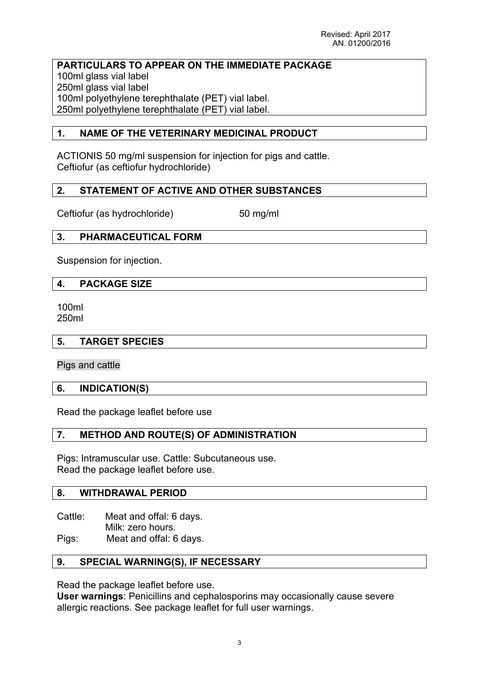#### **PARTICULARS TO APPEAR ON THE IMMEDIATE PACKAGE** 100ml glass vial label 250ml glass vial label 100ml polyethylene terephthalate (PET) vial label. 250ml polyethylene terephthalate (PET) vial label.

### **1. NAME OF THE VETERINARY MEDICINAL PRODUCT**

ACTIONIS 50 mg/ml suspension for injection for pigs and cattle. Ceftiofur (as ceftiofur hydrochloride)

### **2. STATEMENT OF ACTIVE AND OTHER SUBSTANCES**

Ceftiofur (as hydrochloride) 50 mg/ml

### **3. PHARMACEUTICAL FORM**

Suspension for injection.

#### **4. PACKAGE SIZE**

100ml 250ml

#### **5. TARGET SPECIES**

Pigs and cattle

#### **6. INDICATION(S)**

Read the package leaflet before use

## **7. METHOD AND ROUTE(S) OF ADMINISTRATION**

Pigs: Intramuscular use. Cattle: Subcutaneous use. Read the package leaflet before use.

#### **8. WITHDRAWAL PERIOD**

Cattle: Meat and offal: 6 days. Milk: zero hours.

Pigs: Meat and offal: 6 days.

#### **9. SPECIAL WARNING(S), IF NECESSARY**

Read the package leaflet before use.

**User warnings**: Penicillins and cephalosporins may occasionally cause severe allergic reactions. See package leaflet for full user warnings.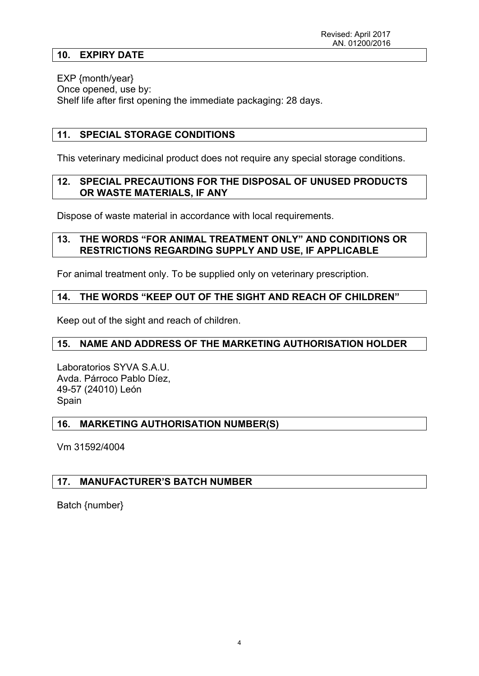#### **10. EXPIRY DATE**

EXP {month/year} Once opened, use by: Shelf life after first opening the immediate packaging: 28 days.

## **11. SPECIAL STORAGE CONDITIONS**

This veterinary medicinal product does not require any special storage conditions.

### **12. SPECIAL PRECAUTIONS FOR THE DISPOSAL OF UNUSED PRODUCTS OR WASTE MATERIALS, IF ANY**

Dispose of waste material in accordance with local requirements.

#### **13. THE WORDS "FOR ANIMAL TREATMENT ONLY" AND CONDITIONS OR RESTRICTIONS REGARDING SUPPLY AND USE, IF APPLICABLE**

For animal treatment only. To be supplied only on veterinary prescription.

### **14. THE WORDS "KEEP OUT OF THE SIGHT AND REACH OF CHILDREN"**

Keep out of the sight and reach of children.

#### **15. NAME AND ADDRESS OF THE MARKETING AUTHORISATION HOLDER**

Laboratorios SYVA S.A.U. Avda. Párroco Pablo Díez, 49-57 (24010) León Spain

#### **16. MARKETING AUTHORISATION NUMBER(S)**

Vm 31592/4004

#### **17. MANUFACTURER'S BATCH NUMBER**

Batch {number}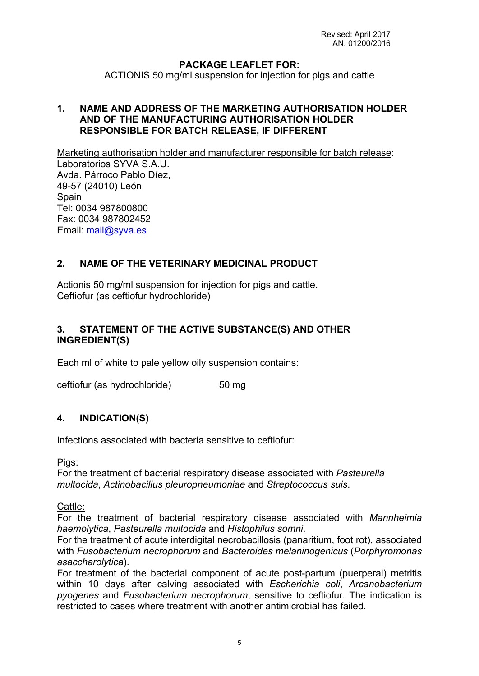### **PACKAGE LEAFLET FOR:**

ACTIONIS 50 mg/ml suspension for injection for pigs and cattle

#### **1. NAME AND ADDRESS OF THE MARKETING AUTHORISATION HOLDER AND OF THE MANUFACTURING AUTHORISATION HOLDER RESPONSIBLE FOR BATCH RELEASE, IF DIFFERENT**

Marketing authorisation holder and manufacturer responsible for batch release:

Laboratorios SYVA S A U. Avda. Párroco Pablo Díez, 49-57 (24010) León **Spain** Tel: 0034 987800800 Fax: 0034 987802452 Email: [mail@syva.es](mailto:mail@syva.es)

## **2. NAME OF THE VETERINARY MEDICINAL PRODUCT**

Actionis 50 mg/ml suspension for injection for pigs and cattle. Ceftiofur (as ceftiofur hydrochloride)

### **3. STATEMENT OF THE ACTIVE SUBSTANCE(S) AND OTHER INGREDIENT(S)**

Each ml of white to pale yellow oily suspension contains:

ceftiofur (as hydrochloride) 50 mg

#### **4. INDICATION(S)**

Infections associated with bacteria sensitive to ceftiofur:

Pigs:

For the treatment of bacterial respiratory disease associated with *Pasteurella multocida*, *Actinobacillus pleuropneumoniae* and *Streptococcus suis*.

Cattle:

For the treatment of bacterial respiratory disease associated with *Mannheimia haemolytica*, *Pasteurella multocida* and *Histophilus somni*.

For the treatment of acute interdigital necrobacillosis (panaritium, foot rot), associated with *Fusobacterium necrophorum* and *Bacteroides melaninogenicus* (*Porphyromonas asaccharolytica*).

For treatment of the bacterial component of acute post-partum (puerperal) metritis within 10 days after calving associated with *Escherichia coli*, *Arcanobacterium pyogenes* and *Fusobacterium necrophorum*, sensitive to ceftiofur*.* The indication is restricted to cases where treatment with another antimicrobial has failed.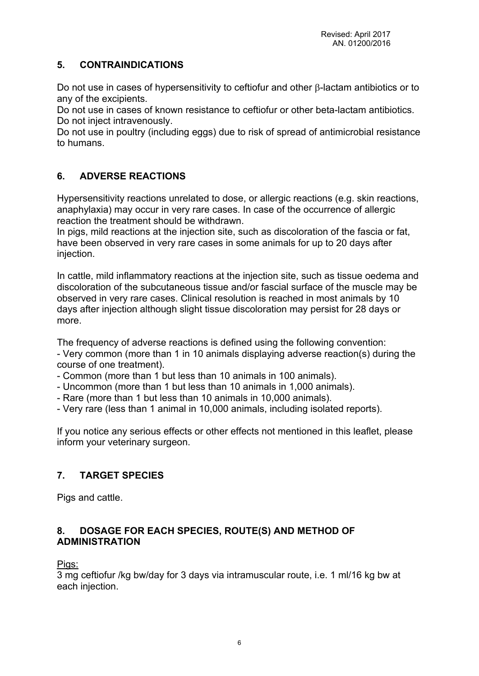## **5. CONTRAINDICATIONS**

Do not use in cases of hypersensitivity to ceftiofur and other  $\beta$ -lactam antibiotics or to any of the excipients.

Do not use in cases of known resistance to ceftiofur or other beta-lactam antibiotics. Do not inject intravenously.

Do not use in poultry (including eggs) due to risk of spread of antimicrobial resistance to humans.

# **6. ADVERSE REACTIONS**

Hypersensitivity reactions unrelated to dose, or allergic reactions (e.g. skin reactions, anaphylaxia) may occur in very rare cases. In case of the occurrence of allergic reaction the treatment should be withdrawn.

In pigs, mild reactions at the injection site, such as discoloration of the fascia or fat, have been observed in very rare cases in some animals for up to 20 days after injection.

In cattle, mild inflammatory reactions at the injection site, such as tissue oedema and discoloration of the subcutaneous tissue and/or fascial surface of the muscle may be observed in very rare cases. Clinical resolution is reached in most animals by 10 days after injection although slight tissue discoloration may persist for 28 days or more.

The frequency of adverse reactions is defined using the following convention: - Very common (more than 1 in 10 animals displaying adverse reaction(s) during the course of one treatment).

- Common (more than 1 but less than 10 animals in 100 animals).
- Uncommon (more than 1 but less than 10 animals in 1,000 animals).
- Rare (more than 1 but less than 10 animals in 10,000 animals).
- Very rare (less than 1 animal in 10,000 animals, including isolated reports).

If you notice any serious effects or other effects not mentioned in this leaflet, please inform your veterinary surgeon.

## **7. TARGET SPECIES**

Pigs and cattle.

## **8. DOSAGE FOR EACH SPECIES, ROUTE(S) AND METHOD OF ADMINISTRATION**

Pigs:

3 mg ceftiofur /kg bw/day for 3 days via intramuscular route, i.e. 1 ml/16 kg bw at each injection.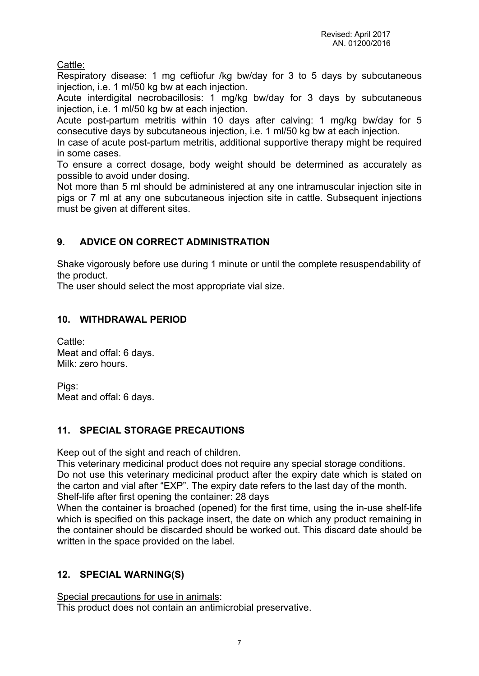Cattle:

Respiratory disease: 1 mg ceftiofur /kg bw/day for 3 to 5 days by subcutaneous injection, i.e. 1 ml/50 kg bw at each injection.

Acute interdigital necrobacillosis: 1 mg/kg bw/day for 3 days by subcutaneous injection, i.e. 1 ml/50 kg bw at each injection.

Acute post-partum metritis within 10 days after calving: 1 mg/kg bw/day for 5 consecutive days by subcutaneous injection, i.e. 1 ml/50 kg bw at each injection.

In case of acute post-partum metritis, additional supportive therapy might be required in some cases.

To ensure a correct dosage, body weight should be determined as accurately as possible to avoid under dosing.

Not more than 5 ml should be administered at any one intramuscular injection site in pigs or 7 ml at any one subcutaneous injection site in cattle. Subsequent injections must be given at different sites.

## **9. ADVICE ON CORRECT ADMINISTRATION**

Shake vigorously before use during 1 minute or until the complete resuspendability of the product.

The user should select the most appropriate vial size.

## **10. WITHDRAWAL PERIOD**

Cattle: Meat and offal: 6 days. Milk: zero hours.

Pigs: Meat and offal: 6 days.

## **11. SPECIAL STORAGE PRECAUTIONS**

Keep out of the sight and reach of children.

This veterinary medicinal product does not require any special storage conditions. Do not use this veterinary medicinal product after the expiry date which is stated on the carton and vial after "EXP". The expiry date refers to the last day of the month. Shelf-life after first opening the container: 28 days

When the container is broached (opened) for the first time, using the in-use shelf-life which is specified on this package insert, the date on which any product remaining in the container should be discarded should be worked out. This discard date should be written in the space provided on the label.

## **12. SPECIAL WARNING(S)**

Special precautions for use in animals:

This product does not contain an antimicrobial preservative.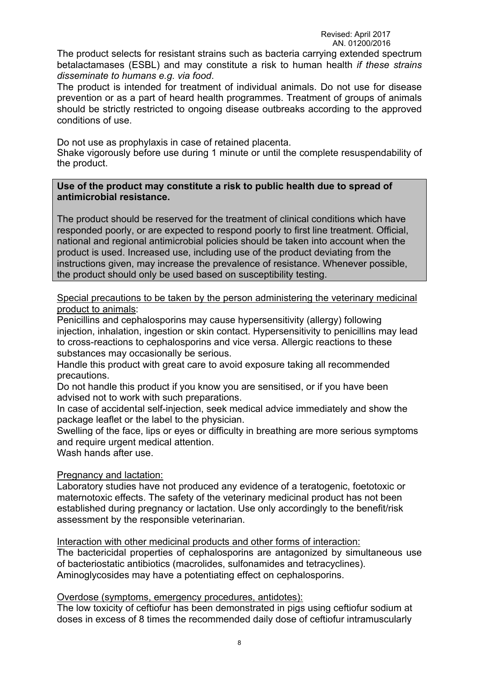#### Revised: April 2017 AN. 01200/2016

The product selects for resistant strains such as bacteria carrying extended spectrum betalactamases (ESBL) and may constitute a risk to human health *if these strains disseminate to humans e.g. via food*.

The product is intended for treatment of individual animals. Do not use for disease prevention or as a part of heard health programmes. Treatment of groups of animals should be strictly restricted to ongoing disease outbreaks according to the approved conditions of use.

Do not use as prophylaxis in case of retained placenta. Shake vigorously before use during 1 minute or until the complete resuspendability of the product.

#### **Use of the product may constitute a risk to public health due to spread of antimicrobial resistance.**

The product should be reserved for the treatment of clinical conditions which have responded poorly, or are expected to respond poorly to first line treatment. Official, national and regional antimicrobial policies should be taken into account when the product is used. Increased use, including use of the product deviating from the instructions given, may increase the prevalence of resistance. Whenever possible, the product should only be used based on susceptibility testing.

Special precautions to be taken by the person administering the veterinary medicinal product to animals:

Penicillins and cephalosporins may cause hypersensitivity (allergy) following injection, inhalation, ingestion or skin contact. Hypersensitivity to penicillins may lead to cross-reactions to cephalosporins and vice versa. Allergic reactions to these substances may occasionally be serious.

Handle this product with great care to avoid exposure taking all recommended precautions.

Do not handle this product if you know you are sensitised, or if you have been advised not to work with such preparations.

In case of accidental self-injection, seek medical advice immediately and show the package leaflet or the label to the physician.

Swelling of the face, lips or eyes or difficulty in breathing are more serious symptoms and require urgent medical attention.

Wash hands after use.

Pregnancy and lactation:

Laboratory studies have not produced any evidence of a teratogenic, foetotoxic or maternotoxic effects. The safety of the veterinary medicinal product has not been established during pregnancy or lactation. Use only accordingly to the benefit/risk assessment by the responsible veterinarian.

Interaction with other medicinal products and other forms of interaction:

The bactericidal properties of cephalosporins are antagonized by simultaneous use of bacteriostatic antibiotics (macrolides, sulfonamides and tetracyclines). Aminoglycosides may have a potentiating effect on cephalosporins.

Overdose (symptoms, emergency procedures, antidotes):

The low toxicity of ceftiofur has been demonstrated in pigs using ceftiofur sodium at doses in excess of 8 times the recommended daily dose of ceftiofur intramuscularly